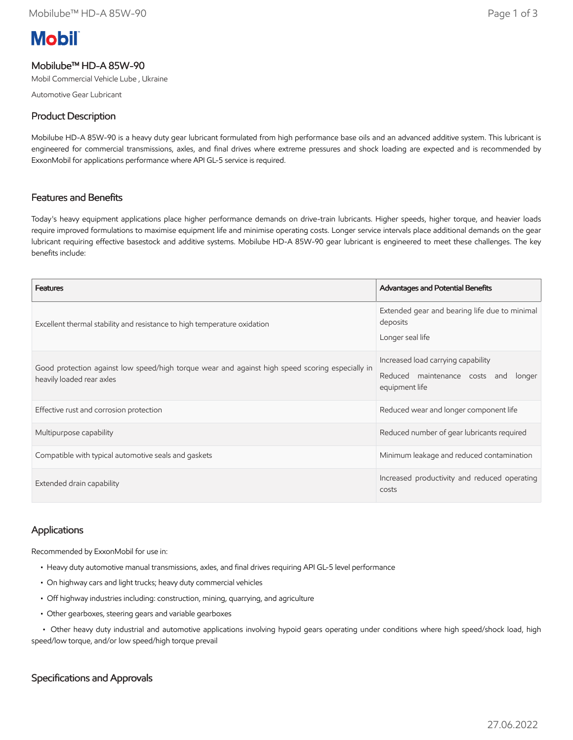# **Mobil**

# Mobilube™ HD-A 85W-90

Mobil Commercial Vehicle Lube , Ukraine

Automotive Gear Lubricant

# Product Description

Mobilube HD-A 85W-90 is a heavy duty gear lubricant formulated from high performance base oils and an advanced additive system. This lubricant is engineered for commercial transmissions, axles, and final drives where extreme pressures and shock loading are expected and is recommended by ExxonMobil for applications performance where API GL-5 service is required.

## Features and Benefits

Today's heavy equipment applications place higher performance demands on drive-train lubricants. Higher speeds, higher torque, and heavier loads require improved formulations to maximise equipment life and minimise operating costs. Longer service intervals place additional demands on the gear lubricant requiring effective basestock and additive systems. Mobilube HD-A 85W-90 gear lubricant is engineered to meet these challenges. The key benefits include:

| <b>Features</b>                                                                                                              | Advantages and Potential Benefits                                                               |  |
|------------------------------------------------------------------------------------------------------------------------------|-------------------------------------------------------------------------------------------------|--|
| Excellent thermal stability and resistance to high temperature oxidation                                                     | Extended gear and bearing life due to minimal<br>deposits<br>Longer seal life                   |  |
| Good protection against low speed/high torque wear and against high speed scoring especially in<br>heavily loaded rear axles | Increased load carrying capability<br>Reduced maintenance costs and<br>longer<br>equipment life |  |
| Effective rust and corrosion protection                                                                                      | Reduced wear and longer component life                                                          |  |
| Multipurpose capability                                                                                                      | Reduced number of gear lubricants required                                                      |  |
| Compatible with typical automotive seals and gaskets                                                                         | Minimum leakage and reduced contamination                                                       |  |
| Extended drain capability                                                                                                    | Increased productivity and reduced operating<br>costs                                           |  |

## Applications

Recommended by ExxonMobil for use in:

- Heavy duty automotive manual transmissions, axles, and final drives requiring API GL-5 level performance
- On highway cars and light trucks; heavy duty commercial vehicles
- Off highway industries including: construction, mining, quarrying, and agriculture
- Other gearboxes, steering gears and variable gearboxes

 • Other heavy duty industrial and automotive applications involving hypoid gears operating under conditions where high speed/shock load, high speed/low torque, and/or low speed/high torque prevail

## Specifications and Approvals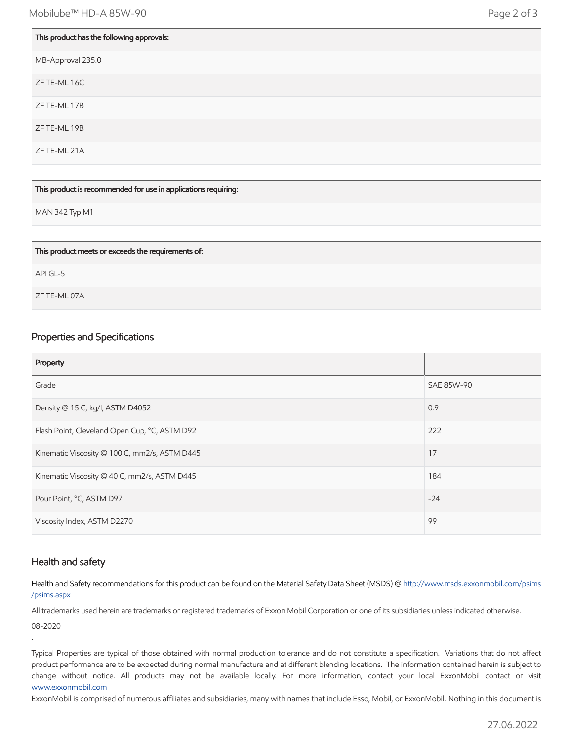| This product has the following approvals: |
|-------------------------------------------|
| MB-Approval 235.0                         |
| ZF TE-ML 16C                              |
| ZF TE-ML 17B                              |
| ZF TE-ML 19B                              |
| ZF TE-ML 21A                              |
|                                           |

#### This product is recommended for use in applications requiring:

MAN 342 Typ M1

| This product meets or exceeds the requirements of: |  |
|----------------------------------------------------|--|
| APIGL-5                                            |  |
| ZF TE-ML 07A                                       |  |

#### Properties and Specifications

| Property                                      |            |
|-----------------------------------------------|------------|
| Grade                                         | SAE 85W-90 |
| Density @ 15 C, kg/l, ASTM D4052              | 0.9        |
| Flash Point, Cleveland Open Cup, °C, ASTM D92 | 222        |
| Kinematic Viscosity @ 100 C, mm2/s, ASTM D445 | 17         |
| Kinematic Viscosity @ 40 C, mm2/s, ASTM D445  | 184        |
| Pour Point, °C, ASTM D97                      | $-24$      |
| Viscosity Index, ASTM D2270                   | 99         |

#### Health and safety

.

Health and Safety recommendations for this product can be found on the Material Safety Data Sheet (MSDS) @ [http://www.msds.exxonmobil.com/psims](http://www.msds.exxonmobil.com/psims/psims.aspx) /psims.aspx

All trademarks used herein are trademarks or registered trademarks of Exxon Mobil Corporation or one of its subsidiaries unless indicated otherwise. 08-2020

Typical Properties are typical of those obtained with normal production tolerance and do not constitute a specification. Variations that do not affect product performance are to be expected during normal manufacture and at different blending locations. The information contained herein is subject to change without notice. All products may not be available locally. For more information, contact your local ExxonMobil contact or visit [www.exxonmobil.com](http://www.exxonmobil.com/)

ExxonMobil is comprised of numerous affiliates and subsidiaries, many with names that include Esso, Mobil, or ExxonMobil. Nothing in this document is